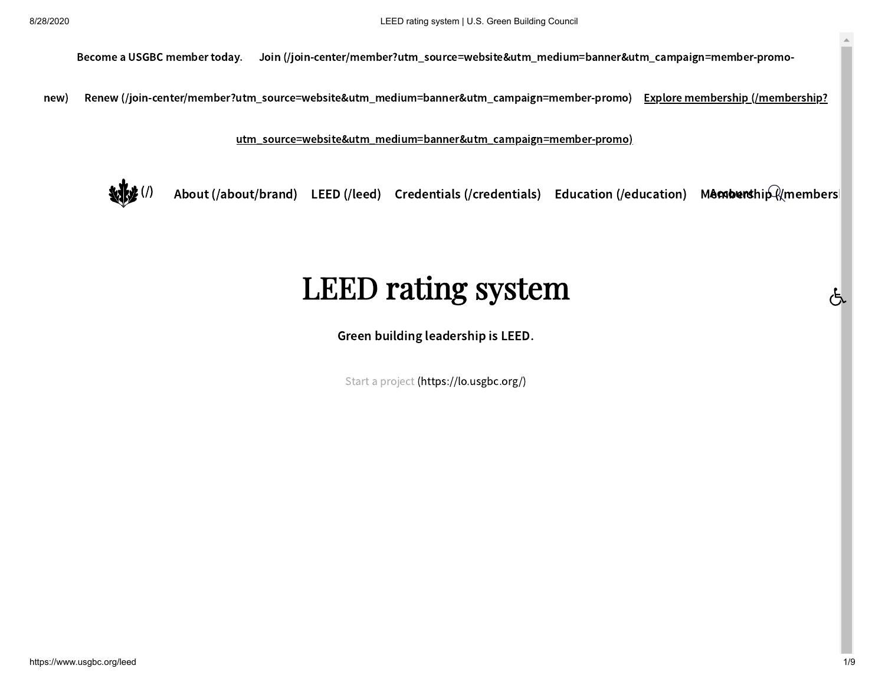Become a USGBC member today.  [Join \(/join-center/member?utm\\_source=website&utm\\_medium=banner&utm\\_campaign=member-promo-](https://www.usgbc.org/join-center/member?utm_source=website&utm_medium=banner&utm_campaign=member-promo-new)

new) [Renew \(/join-center/member?utm\\_source=website&utm\\_medium=banner&utm\\_campaign=member-promo\)](https://www.usgbc.org/join-center/member?utm_source=website&utm_medium=banner&utm_campaign=member-promo) <u>Explore membership (/membership?</u> n=member-promo) <u>Expl</u><br><u>n=member-promo)</u>

utm\_source=website&utm\_medium=banner&utm\_campaign=member-promo)



[About \(/about/brand\)](https://www.usgbc.org/about/brand) [LEED \(/leed\)](https://www.usgbc.org/leed) [Credentials \(/credentials\)](https://www.usgbc.org/credentials) [Education \(/education\)](https://www.usgbc.org/education) Membership Amembership [\(/membersh](https://www.usgbc.org/membership)ip (/membership (/membership )

# LEED rating system LEED rating system

Green building leadership is LEED.

Start a project [\(https://lo.usgbc.org/\)](https://lo.usgbc.org/)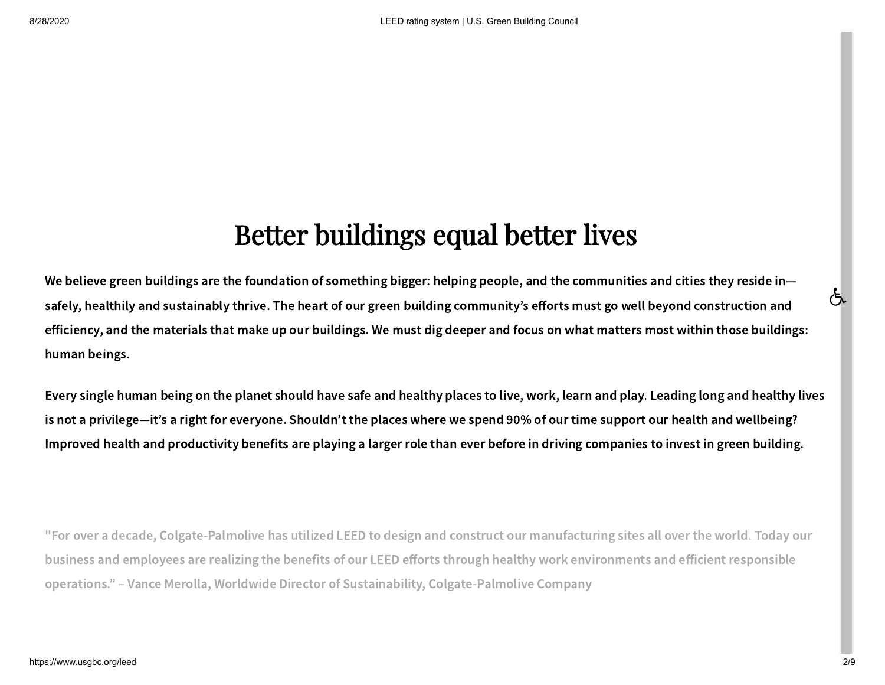## Better buildings equal better lives Better buildings equal better lives

We believe green buildings are the foundation of something bigger: helping people, and the communities and cities they reside in safely, healthily and sustainably thrive. The heart of our green building community's efforts must go well beyond construction and efficiency, and the materials that make up our buildings. We must dig deeper and focus on what matters most within those buildings: human beings.

Every single human being on the planet should have safe and healthy places to live, work, learn and play. Leading long and healthy lives is not a privilege—it's a right for everyone. Shouldn't the places where we spend 90% of our time support our health and wellbeing? Improved health and productivity benefits are playing a larger role than ever before in driving companies to invest in green building.

"For over a decade, Colgate-Palmolive has utilized LEED to design and construct our manufacturing sites all over the world. Today our business and employees are realizing the benefits of our LEED efforts through healthy work environments and efficient responsible operations." – Vance Merolla, Worldwide Director of Sustainability, Colgate-Palmolive Company

ල්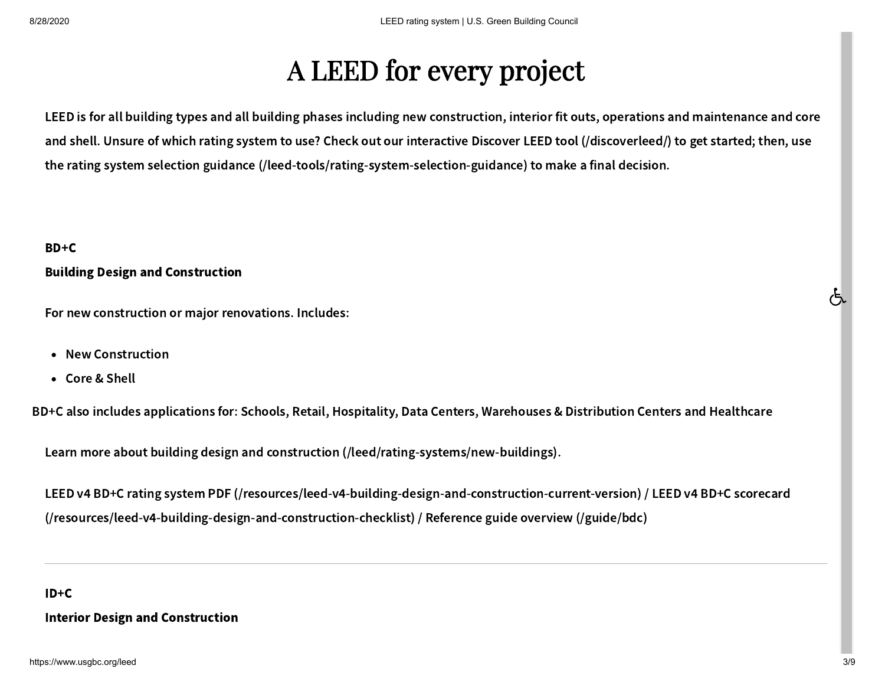# A LEED for every project A LEED for every project

LEED is for all building types and all building phases including new construction, interior fit outs, operations and maintenance and core and shell. Unsure of which rating system to use? Check out our interactive [Discover LEED tool \(/discoverleed/\)](https://www.usgbc.org/discoverleed/) to get started; then, use the [rating system selection guidance \(/leed-tools/rating-system-selection-guidance\)](https://www.usgbc.org/leed-tools/rating-system-selection-guidance) to make a final decision.

#### <span id="page-2-0"></span>BD+C

#### Building Design and Construction

For new construction or major renovations. Includes:

- New Construction
- Core & Shell •

BD+C also includes applications for: Schools, Retail, Hospitality, Data Centers, Warehouses & Distribution Centers and Healthcare

[Learn more about building design and construction \(/leed/rating-systems/new-buildings\)](https://www.usgbc.org/leed/rating-systems/new-buildings).

[LEED v](https://www.usgbc.org/resources/leed-v4-building-design-and-construction-checklist)[4](https://www.usgbc.org/resources/leed-v4-building-design-and-construction-current-version) [BD](https://www.usgbc.org/resources/leed-v4-building-design-and-construction-checklist)[+](https://www.usgbc.org/resources/leed-v4-building-design-and-construction-current-version)[C rating system PDF](https://www.usgbc.org/resources/leed-v4-building-design-and-construction-checklist) [\(/](https://www.usgbc.org/resources/leed-v4-building-design-and-construction-current-version)[resources](https://www.usgbc.org/resources/leed-v4-building-design-and-construction-checklist)[/](https://www.usgbc.org/resources/leed-v4-building-design-and-construction-current-version)[leed](https://www.usgbc.org/resources/leed-v4-building-design-and-construction-checklist)[-](https://www.usgbc.org/resources/leed-v4-building-design-and-construction-current-version)[v](https://www.usgbc.org/resources/leed-v4-building-design-and-construction-checklist)[4-](https://www.usgbc.org/resources/leed-v4-building-design-and-construction-current-version)[building](https://www.usgbc.org/resources/leed-v4-building-design-and-construction-checklist)[-](https://www.usgbc.org/resources/leed-v4-building-design-and-construction-current-version)[design](https://www.usgbc.org/resources/leed-v4-building-design-and-construction-checklist)[-](https://www.usgbc.org/resources/leed-v4-building-design-and-construction-current-version)[and](https://www.usgbc.org/resources/leed-v4-building-design-and-construction-checklist)[-](https://www.usgbc.org/resources/leed-v4-building-design-and-construction-current-version)[construction](https://www.usgbc.org/resources/leed-v4-building-design-and-construction-checklist)[-](https://www.usgbc.org/resources/leed-v4-building-design-and-construction-current-version)[current](https://www.usgbc.org/resources/leed-v4-building-design-and-construction-checklist)[-](https://www.usgbc.org/resources/leed-v4-building-design-and-construction-current-version)[version\)](https://www.usgbc.org/resources/leed-v4-building-design-and-construction-checklist) / LEED v4 BD+C scorecard (/resources/leed-v4-building-design-and-construction-checklist) / [Reference guide overview \(/guide/bdc\)](https://www.usgbc.org/guide/bdc)

#### ID+C

#### Interior Design and Construction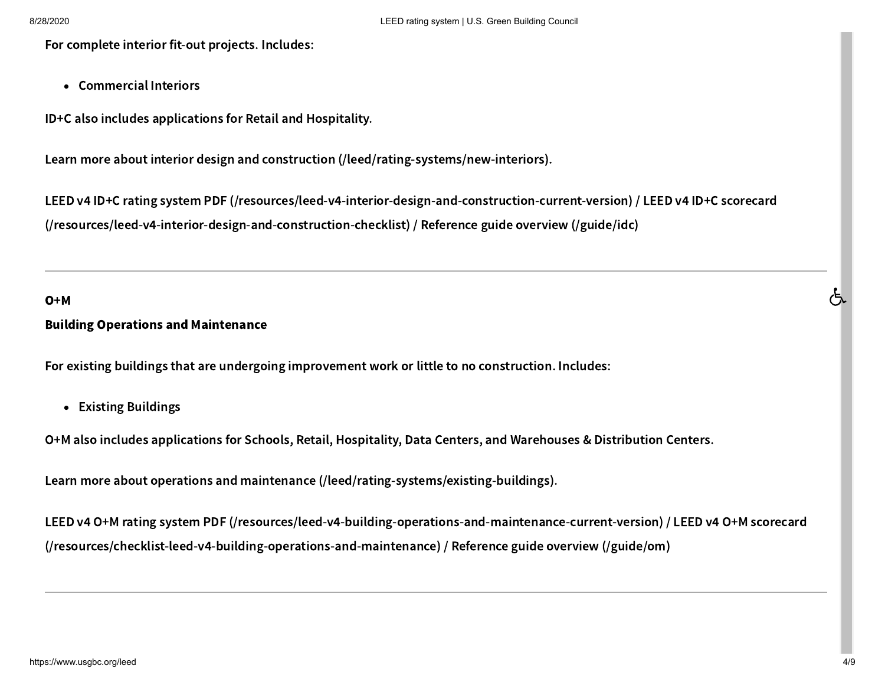For complete interior fit-out projects. Includes:

• Commercial Interiors

ID+C also includes applications for Retail and Hospitality.

[Learn more about interior design and construction \(/leed/rating-systems/new-interiors\)](https://www.usgbc.org/leed/rating-systems/new-interiors).

[LEED v4 ID+C rating system PDF \(/resources/leed-v4-interior-design-and-construction-current-version\)](https://www.usgbc.org/resources/leed-v4-interior-design-and-construction-current-version) / LEED v4 ID+C scorecard (/resources/leed-v4-interior-design-and-construction-checklist) / [Reference guide overview \(/guide/idc\)](https://www.usgbc.org/guide/idc)

#### O+M

#### Building Operations and Maintenance

For existing buildings that are undergoing improvement work or little to no construction. Includes:

Existing Buildings •

O+M also includes applications for Schools, Retail, Hospitality, Data Centers, and Warehouses & Distribution Centers.

[Learn more about operations and maintenance \(/leed/rating-systems/existing-buildings\)](https://www.usgbc.org/leed/rating-systems/existing-buildings).

[LEED v4 O+M rating system PDF \(/resources/leed-v4-building-operations-and-maintenance-current-version\)](https://www.usgbc.org/resources/leed-v4-building-operations-and-maintenance-current-version) / LEED v4 O+M scorecard (/resources/checklist-leed-v4-building-operations-and-maintenance) / [Reference guide overview \(/guide/om\)](https://www.usgbc.org/guide/om)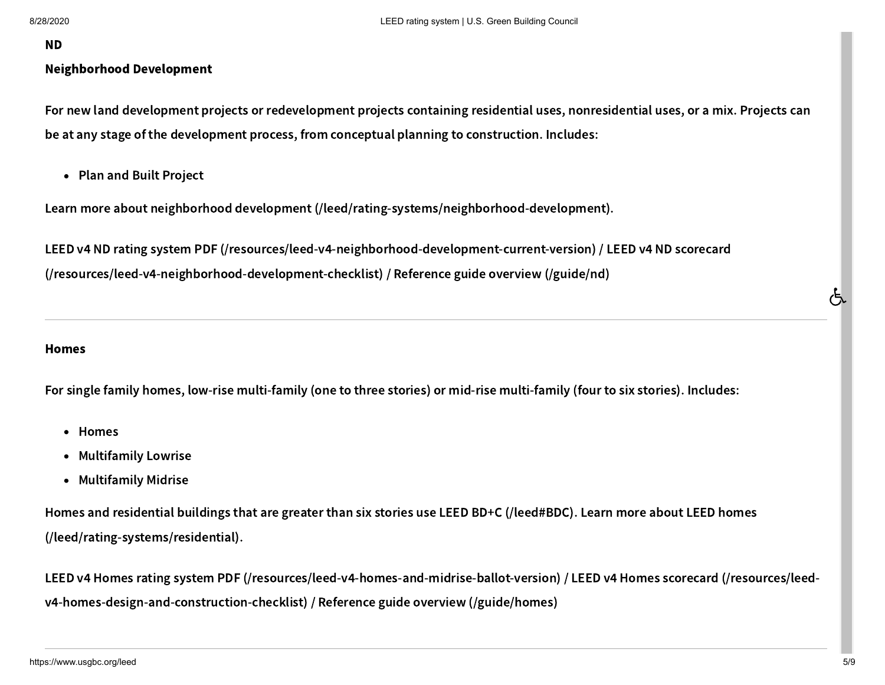#### ND

#### Neighborhood Development

For new land development projects or redevelopment projects containing residential uses, nonresidential uses, or a mix. Projects can be at any stage of the development process, from conceptual planning to construction. Includes:

• Plan and Built Project

Learn more about neighborhood development (/leed/rating-systems/neighborhood-development).

LEED v4 ND rating system PDF (/resources/leed-v4-neighborhood-development-current-version) / LEED v4 ND scorecard (/resources/leed-v4-neighborhood-development-checklist) / Reference guide overview (/guide/nd) one at any stage of the development process, from conceptual planning to construction. Includes:<br>
• Plan and Built Project<br>
-earn more about neighborhood development (/leed/rating-systems/neighborhood-development).<br>
-EED v

#### Homes

For single family homes, low-rise multi-family (one to three stories) or mid-rise multi-family (four to six stories). Includes:

- Homes
- Multifamily Lowrise •
- Multifamily Midrise

[Homes and residential buildings that are greater than six stories use LEED BD](https://www.usgbc.org/leed/rating-systems/residential)[+](#page-2-0)[C](https://www.usgbc.org/leed/rating-systems/residential) [\(/](#page-2-0)[leed](https://www.usgbc.org/leed/rating-systems/residential)[#](#page-2-0)[BDC](https://www.usgbc.org/leed/rating-systems/residential)[\)](#page-2-0)[. Learn more about LEED homes](https://www.usgbc.org/leed/rating-systems/residential) (/leed/rating-systems/residential).

[LEED v4 Homes rating system PDF \(/resources/leed-v4-homes-and-midrise-ballot-version](https://www.usgbc.org/resources/leed-v4-homes-and-midrise-ballot-version)[\)](https://www.usgbc.org/resources/leed-v4-homes-design-and-construction-checklist) / LEED v4 Homes scorecard (/resources/leedv4-homes-design-and-construction-checklist) / [Reference guide overview \(/guide/homes\)](https://www.usgbc.org/guide/homes)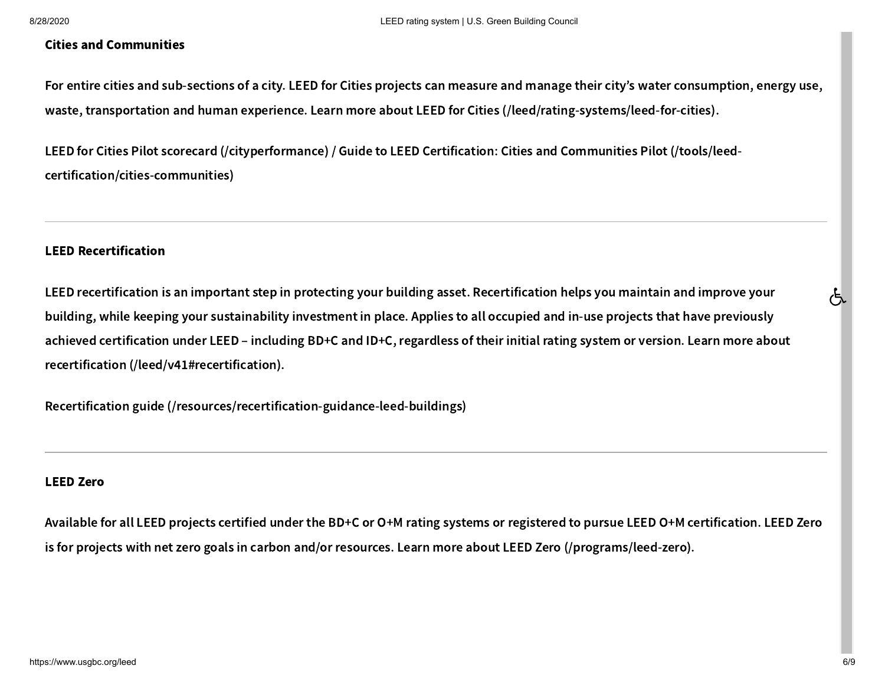#### Cities and Communities

For entire cities and sub-sections of a city. LEED for Cities projects can measure and manage their city's water consumption, energy use, waste, transportation and human experience. Learn more about LEED for Cities [\(/leed/rating-systems/leed-for-cities\)](https://www.usgbc.org/leed/rating-systems/leed-for-cities).

LEED for Cities Pilot scorecard [\(/cityperformance\)](https://www.usgbc.org/cityperformance) / Guide to LEED Certification: Cities and Communities Pilot (/tools/leed[certification/cities-communities\)](https://www.usgbc.org/tools/leed-certification/cities-communities)

#### LEED Recertification

LEED recertification is an important step in protecting your building asset. Recertification helps you maintain and improve your building, while keeping your sustainability investment in place. Applies to all occupied and in-use projects that have previously achieved certification under LEED – including BD+C and ID+C, regardless of their initial rating system or version. Learn more about recertification [\(/leed/v41#recertification\).](https://www.usgbc.org/leed/v41#recertification)

Recertification guide [\(/resources/recertification-guidance-leed-buildings\)](https://www.usgbc.org/resources/recertification-guidance-leed-buildings)

#### LEED Zero

Available for all LEED projects certified under the BD+C or O+M rating systems or registered to pursue LEED O+M certification. LEED Zero is for projects with net zero goals in carbon and/or resources. Learn more about LEED Zero [\(/programs/leed-zero\)](https://www.usgbc.org/programs/leed-zero).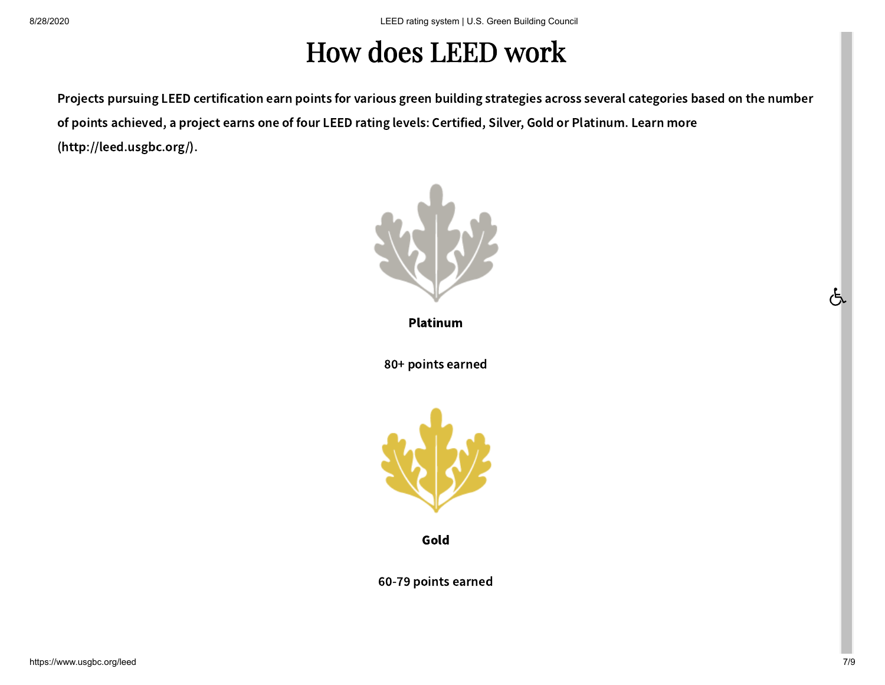### How does LEED work **How does** LEED **work**

Projects pursuing LEED certification earn points for various green building strategies across several categories based on the number [of points achieved, a project earns one of four LEED rating levels: Certified, Silver, Gold or Platinum. Learn more](http://leed.usgbc.org/) (http://leed.usgbc.org/).



Platinum

80+ points earned



Gold

60-79 points earned

ල්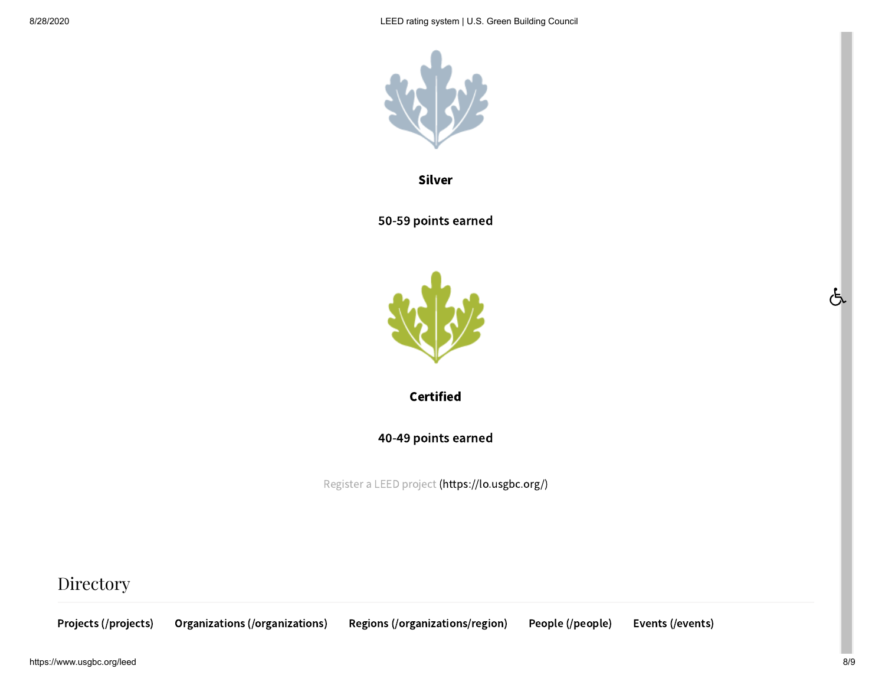

Silver

50-59 points earned



**Certified** 

40-49 points earned

Register a LEED project [\(https://lo.usgbc.org/\)](https://lo.usgbc.org/)

### Directory

[Projects \(/projects\)](https://www.usgbc.org/projects) [Organizations \(/organizations\)](https://www.usgbc.org/organizations) [Regions \(/organizations/region\)](https://www.usgbc.org/organizations/region) [People \(/people\)](https://www.usgbc.org/people) [Events \(/events\)](https://www.usgbc.org/events)

https://www.usgbc.org/leed 8/9

 $\overline{\mathfrak{G}}$